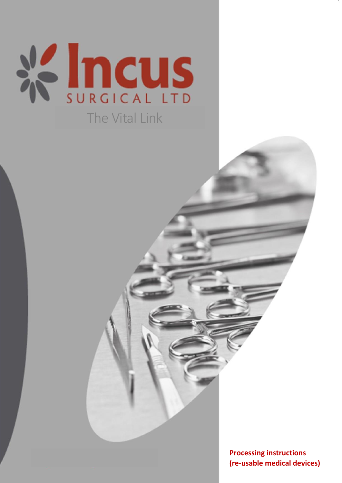

August 2021 10 QMF7.34b/21/30 QMF7.34B – Reprocessing

**Date Version Change Doc. Title Authorised by: Page No. Processing instructions** Page **1** of 8 **(re-usable medical devices)**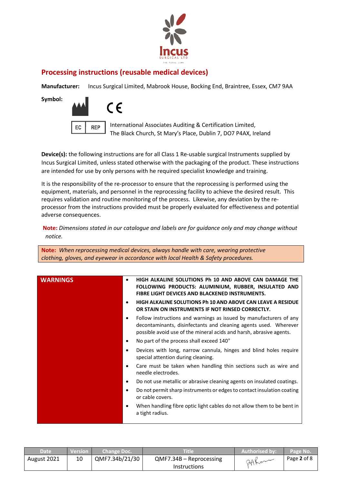

## **Processing instructions (reusable medical devices)**

**Manufacturer:** Incus Surgical Limited, Mabrook House, Bocking End, Braintree, Essex, CM7 9AA

**Symbol:** 



EC REP International Associates Auditing & Certification Limited, The Black Church, St Mary's Place, Dublin 7, DO7 P4AX, Ireland

**Device(s):** the following instructions are for all Class 1 Re-usable surgical Instruments supplied by Incus Surgical Limited, unless stated otherwise with the packaging of the product. These instructions are intended for use by only persons with he required specialist knowledge and training.

It is the responsibility of the re-processor to ensure that the reprocessing is performed using the equipment, materials, and personnel in the reprocessing facility to achieve the desired result. This requires validation and routine monitoring of the process. Likewise, any deviation by the reprocessor from the instructions provided must be properly evaluated for effectiveness and potential adverse consequences.

**Note:** *Dimensions stated in our catalogue and labels are for guidance only and may change without notice.*

**Note:** *When reprocessing medical devices, always handle with care, wearing protective clothing, gloves, and eyewear in accordance with local Health & Safety procedures.*

| <b>WARNINGS</b><br>FIBRE LIGHT DEVICES AND BLACKENED INSTRUMENTS.<br>HIGH ALKALINE SOLUTIONS PH 10 AND ABOVE CAN LEAVE A RESIDUE<br>OR STAIN ON INSTRUMENTS IF NOT RINSED CORRECTLY.<br>٠<br>possible avoid use of the mineral acids and harsh, abrasive agents.<br>No part of the process shall exceed 140°<br>٠<br>special attention during cleaning.<br>needle electrodes.<br>$\bullet$<br>or cable covers.<br>a tight radius. |                                                                                                                                        |
|-----------------------------------------------------------------------------------------------------------------------------------------------------------------------------------------------------------------------------------------------------------------------------------------------------------------------------------------------------------------------------------------------------------------------------------|----------------------------------------------------------------------------------------------------------------------------------------|
|                                                                                                                                                                                                                                                                                                                                                                                                                                   | HIGH ALKALINE SOLUTIONS Ph 10 AND ABOVE CAN DAMAGE THE<br>FOLLOWING PRODUCTS: ALUMINIUM, RUBBER, INSULATED AND                         |
|                                                                                                                                                                                                                                                                                                                                                                                                                                   |                                                                                                                                        |
|                                                                                                                                                                                                                                                                                                                                                                                                                                   | Follow instructions and warnings as issued by manufacturers of any<br>decontaminants, disinfectants and cleaning agents used. Wherever |
|                                                                                                                                                                                                                                                                                                                                                                                                                                   |                                                                                                                                        |
|                                                                                                                                                                                                                                                                                                                                                                                                                                   | Devices with long, narrow cannula, hinges and blind holes require                                                                      |
|                                                                                                                                                                                                                                                                                                                                                                                                                                   | Care must be taken when handling thin sections such as wire and                                                                        |
|                                                                                                                                                                                                                                                                                                                                                                                                                                   | Do not use metallic or abrasive cleaning agents on insulated coatings.                                                                 |
|                                                                                                                                                                                                                                                                                                                                                                                                                                   | Do not permit sharp instruments or edges to contact insulation coating                                                                 |
|                                                                                                                                                                                                                                                                                                                                                                                                                                   | When handling fibre optic light cables do not allow them to be bent in                                                                 |

| Date'       | <b>Nersion</b> | Change Doc.'   | Title                     | Authorised by: | Page No.    |
|-------------|----------------|----------------|---------------------------|----------------|-------------|
| August 2021 | 10             | QMF7.34b/21/30 | $QMF7.34B - Reprocessing$ | $AAK$ an       | Page 2 of 8 |
|             |                |                | <b>Instructions</b>       |                |             |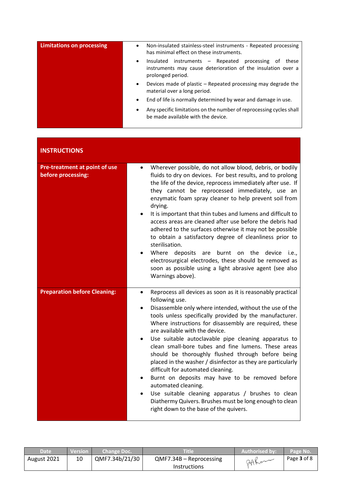| <b>Limitations on processing</b> | Non-insulated stainless-steel instruments - Repeated processing<br>$\bullet$<br>has minimal effect on these instruments.                                     |
|----------------------------------|--------------------------------------------------------------------------------------------------------------------------------------------------------------|
|                                  | instruments – Repeated processing of<br>Insulated<br>these<br>$\bullet$<br>instruments may cause deterioration of the insulation over a<br>prolonged period. |
|                                  | Devices made of plastic – Repeated processing may degrade the<br>$\bullet$<br>material over a long period.                                                   |
|                                  | End of life is normally determined by wear and damage in use.<br>$\bullet$                                                                                   |
|                                  | Any specific limitations on the number of reprocessing cycles shall<br>$\bullet$<br>be made available with the device.                                       |

| <b>INSTRUCTIONS</b>                                 |                                                                                                                                                                                                                                                                                                                                                                                                                                                                                                                                                                                                                                                                                                                                                                                                                                        |
|-----------------------------------------------------|----------------------------------------------------------------------------------------------------------------------------------------------------------------------------------------------------------------------------------------------------------------------------------------------------------------------------------------------------------------------------------------------------------------------------------------------------------------------------------------------------------------------------------------------------------------------------------------------------------------------------------------------------------------------------------------------------------------------------------------------------------------------------------------------------------------------------------------|
| Pre-treatment at point of use<br>before processing: | Wherever possible, do not allow blood, debris, or bodily<br>$\bullet$<br>fluids to dry on devices. For best results, and to prolong<br>the life of the device, reprocess immediately after use. If<br>they cannot be reprocessed immediately, use an<br>enzymatic foam spray cleaner to help prevent soil from<br>drying.<br>It is important that thin tubes and lumens and difficult to<br>access areas are cleaned after use before the debris had<br>adhered to the surfaces otherwise it may not be possible<br>to obtain a satisfactory degree of cleanliness prior to<br>sterilisation.<br>Where deposits are<br>burnt on the<br>device <i>i.e.</i><br>$\bullet$<br>electrosurgical electrodes, these should be removed as<br>soon as possible using a light abrasive agent (see also<br>Warnings above).                        |
| <b>Preparation before Cleaning:</b>                 | Reprocess all devices as soon as it is reasonably practical<br>$\bullet$<br>following use.<br>Disassemble only where intended, without the use of the<br>tools unless specifically provided by the manufacturer.<br>Where instructions for disassembly are required, these<br>are available with the device.<br>Use suitable autoclavable pipe cleaning apparatus to<br>$\bullet$<br>clean small-bore tubes and fine lumens. These areas<br>should be thoroughly flushed through before being<br>placed in the washer / disinfector as they are particularly<br>difficult for automated cleaning.<br>Burnt on deposits may have to be removed before<br>automated cleaning.<br>Use suitable cleaning apparatus / brushes to clean<br>Diathermy Quivers. Brushes must be long enough to clean<br>right down to the base of the quivers. |

| <b>Date</b> | <b>Version</b> | Change Doc.'   | Title                   | Authorised by: | Page No.    |
|-------------|----------------|----------------|-------------------------|----------------|-------------|
| August 2021 |                | QMF7.34b/21/30 | QMF7.34B - Reprocessing | DAKer          | Page 3 of 8 |
|             |                |                | <b>Instructions</b>     |                |             |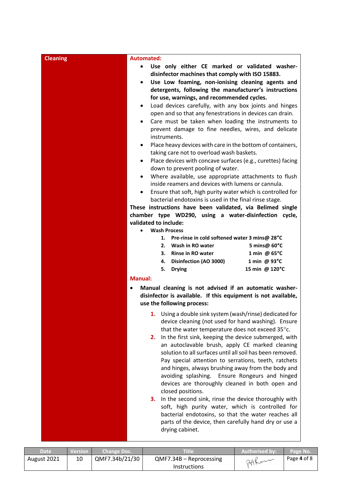| <b>Cleaning</b> | <b>Automated:</b>                                                                                                                                                                                                                                                                                                                                                                                                                                                                                                                                                                                                                                                                                                                                                                                                                                                                                                                                                                                                                                                                                                                                                                                                                                                                                                                                                                                                                                                                                                                         |  |
|-----------------|-------------------------------------------------------------------------------------------------------------------------------------------------------------------------------------------------------------------------------------------------------------------------------------------------------------------------------------------------------------------------------------------------------------------------------------------------------------------------------------------------------------------------------------------------------------------------------------------------------------------------------------------------------------------------------------------------------------------------------------------------------------------------------------------------------------------------------------------------------------------------------------------------------------------------------------------------------------------------------------------------------------------------------------------------------------------------------------------------------------------------------------------------------------------------------------------------------------------------------------------------------------------------------------------------------------------------------------------------------------------------------------------------------------------------------------------------------------------------------------------------------------------------------------------|--|
|                 | Use only either CE marked or validated washer-<br>$\bullet$<br>disinfector machines that comply with ISO 15883.<br>Use Low foaming, non-ionising cleaning agents and<br>$\bullet$<br>detergents, following the manufacturer's instructions<br>for use, warnings, and recommended cycles.<br>Load devices carefully, with any box joints and hinges<br>$\bullet$<br>open and so that any fenestrations in devices can drain.<br>Care must be taken when loading the instruments to<br>$\bullet$<br>prevent damage to fine needles, wires, and delicate<br>instruments.<br>Place heavy devices with care in the bottom of containers,<br>$\bullet$<br>taking care not to overload wash baskets.<br>Place devices with concave surfaces (e.g., curettes) facing<br>$\bullet$<br>down to prevent pooling of water.<br>Where available, use appropriate attachments to flush<br>$\bullet$<br>inside reamers and devices with lumens or cannula.<br>Ensure that soft, high purity water which is controlled for<br>$\bullet$<br>bacterial endotoxins is used in the final rinse stage.<br>These instructions have been validated, via Belimed single<br>chamber type WD290, using a water-disinfection cycle,<br>validated to include:<br><b>Wash Process</b><br>$\bullet$<br>Pre-rinse in cold softened water 3 mins@ 28°C<br>1.<br>5 mins@ 60°C<br>2. Wash in RO water<br><b>Rinse in RO water</b><br>1 min @ 65°C<br>3.<br>Disinfection (AO 3000)<br>1 min @ $93^{\circ}$ C<br>4.<br>15 min @ 120°C<br>5.<br><b>Drying</b><br><b>Manual:</b> |  |
|                 | Manual cleaning is not advised if an automatic washer-<br>$\bullet$<br>disinfector is available. If this equipment is not available,<br>use the following process:                                                                                                                                                                                                                                                                                                                                                                                                                                                                                                                                                                                                                                                                                                                                                                                                                                                                                                                                                                                                                                                                                                                                                                                                                                                                                                                                                                        |  |
|                 | 1. Using a double sink system (wash/rinse) dedicated for<br>device cleaning (not used for hand washing). Ensure<br>that the water temperature does not exceed 35°c.<br>In the first sink, keeping the device submerged, with<br>2.<br>an autoclavable brush, apply CE marked cleaning<br>solution to all surfaces until all soil has been removed.<br>Pay special attention to serrations, teeth, ratchets<br>and hinges, always brushing away from the body and<br>avoiding splashing. Ensure Rongeurs and hinged<br>devices are thoroughly cleaned in both open and<br>closed positions.<br>3. In the second sink, rinse the device thoroughly with<br>soft, high purity water, which is controlled for<br>bacterial endotoxins, so that the water reaches all<br>parts of the device, then carefully hand dry or use a<br>drying cabinet.                                                                                                                                                                                                                                                                                                                                                                                                                                                                                                                                                                                                                                                                                              |  |

| <b>Date</b> | Version l | Change Doc.    | Title                     | Authorised by: | Page No.    |
|-------------|-----------|----------------|---------------------------|----------------|-------------|
| August 2021 | 10        | QMF7.34b/21/30 | $QMF7.34B - Reprocessing$ | 24Ker          | Page 4 of 8 |
|             |           |                | <b>Instructions</b>       |                |             |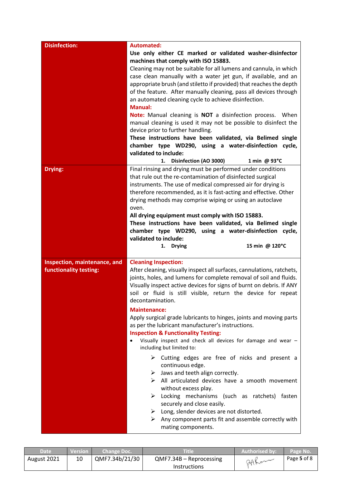| <b>Disinfection:</b>                                   | <b>Automated:</b><br>Use only either CE marked or validated washer-disinfector<br>machines that comply with ISO 15883.<br>Cleaning may not be suitable for all lumens and cannula, in which<br>case clean manually with a water jet gun, if available, and an<br>appropriate brush (and stiletto if provided) that reaches the depth<br>of the feature. After manually cleaning, pass all devices through<br>an automated cleaning cycle to achieve disinfection.<br><b>Manual:</b><br>Note: Manual cleaning is NOT a disinfection process. When<br>manual cleaning is used it may not be possible to disinfect the<br>device prior to further handling.<br>These instructions have been validated, via Belimed single<br>chamber type WD290, using a water-disinfection cycle,<br>validated to include:<br>1. Disinfection (AO 3000)<br>1 min @ 93°C                                                                                                                                                                                                                                                                       |
|--------------------------------------------------------|-----------------------------------------------------------------------------------------------------------------------------------------------------------------------------------------------------------------------------------------------------------------------------------------------------------------------------------------------------------------------------------------------------------------------------------------------------------------------------------------------------------------------------------------------------------------------------------------------------------------------------------------------------------------------------------------------------------------------------------------------------------------------------------------------------------------------------------------------------------------------------------------------------------------------------------------------------------------------------------------------------------------------------------------------------------------------------------------------------------------------------|
| Drying:                                                | Final rinsing and drying must be performed under conditions<br>that rule out the re-contamination of disinfected surgical<br>instruments. The use of medical compressed air for drying is<br>therefore recommended, as it is fast-acting and effective. Other<br>drying methods may comprise wiping or using an autoclave<br>oven.<br>All drying equipment must comply with ISO 15883.<br>These instructions have been validated, via Belimed single<br>chamber type WD290, using a water-disinfection cycle,<br>validated to include:                                                                                                                                                                                                                                                                                                                                                                                                                                                                                                                                                                                      |
|                                                        | 15 min @ 120°C<br>1. Drying                                                                                                                                                                                                                                                                                                                                                                                                                                                                                                                                                                                                                                                                                                                                                                                                                                                                                                                                                                                                                                                                                                 |
| Inspection, maintenance, and<br>functionality testing: | <b>Cleaning Inspection:</b><br>After cleaning, visually inspect all surfaces, cannulations, ratchets,<br>joints, holes, and lumens for complete removal of soil and fluids.<br>Visually inspect active devices for signs of burnt on debris. If ANY<br>soil or fluid is still visible, return the device for repeat<br>decontamination.<br><b>Maintenance:</b><br>Apply surgical grade lubricants to hinges, joints and moving parts<br>as per the lubricant manufacturer's instructions.<br><b>Inspection &amp; Functionality Testing:</b><br>Visually inspect and check all devices for damage and wear -<br>including but limited to:<br>$\triangleright$ Cutting edges are free of nicks and present a<br>continuous edge.<br>Jaws and teeth align correctly.<br>➤<br>$\triangleright$ All articulated devices have a smooth movement<br>without excess play.<br>$\triangleright$ Locking mechanisms (such as ratchets) fasten<br>securely and close easily.<br>$\triangleright$ Long, slender devices are not distorted.<br>$\triangleright$ Any component parts fit and assemble correctly with<br>mating components. |

| <b>Date</b> | <b>Version</b> | Change Doc.    | Title                     | <b>Authorised by:</b> | Page No.    |
|-------------|----------------|----------------|---------------------------|-----------------------|-------------|
| August 2021 |                | QMF7.34b/21/30 | $QMF7.34B - Reprocessing$ | 24Ker                 | Page 5 of 8 |
|             |                |                | Instructions              |                       |             |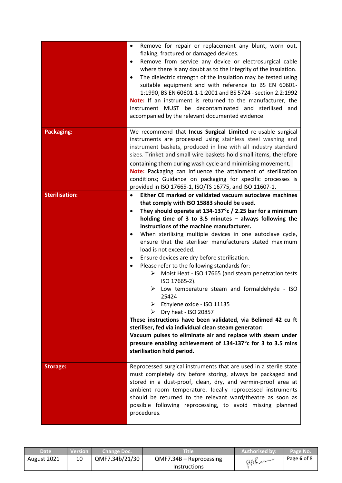|                       | Remove for repair or replacement any blunt, worn out,<br>$\bullet$<br>flaking, fractured or damaged devices.<br>Remove from service any device or electrosurgical cable<br>٠<br>where there is any doubt as to the integrity of the insulation.<br>The dielectric strength of the insulation may be tested using<br>٠<br>suitable equipment and with reference to BS EN 60601-<br>1:1990, BS EN 60601-1-1:2001 and BS 5724 - section 2.2:1992<br>Note: If an instrument is returned to the manufacturer, the<br>instrument MUST be decontaminated and sterilised and<br>accompanied by the relevant documented evidence.                                                                                                                                                                                                                                                                                                                                                                                                                                             |
|-----------------------|----------------------------------------------------------------------------------------------------------------------------------------------------------------------------------------------------------------------------------------------------------------------------------------------------------------------------------------------------------------------------------------------------------------------------------------------------------------------------------------------------------------------------------------------------------------------------------------------------------------------------------------------------------------------------------------------------------------------------------------------------------------------------------------------------------------------------------------------------------------------------------------------------------------------------------------------------------------------------------------------------------------------------------------------------------------------|
| <b>Packaging:</b>     | We recommend that Incus Surgical Limited re-usable surgical<br>instruments are processed using stainless steel washing and<br>instrument baskets, produced in line with all industry standard<br>sizes. Trinket and small wire baskets hold small items, therefore<br>containing them during wash cycle and minimising movement.<br>Note: Packaging can influence the attainment of sterilization<br>conditions; Guidance on packaging for specific processes is<br>provided in ISO 17665-1, ISO/TS 16775, and ISO 11607-1.                                                                                                                                                                                                                                                                                                                                                                                                                                                                                                                                          |
| <b>Sterilisation:</b> | Either CE marked or validated vacuum autoclave machines<br>that comply with ISO 15883 should be used.<br>They should operate at 134-137 $\degree$ c / 2.25 bar for a minimum<br>$\bullet$<br>holding time of 3 to 3.5 minutes $-$ always following the<br>instructions of the machine manufacturer.<br>When sterilising multiple devices in one autoclave cycle,<br>٠<br>ensure that the steriliser manufacturers stated maximum<br>load is not exceeded.<br>Ensure devices are dry before sterilisation.<br>٠<br>Please refer to the following standards for:<br>٠<br>Moist Heat - ISO 17665 (and steam penetration tests<br>➤<br>ISO 17665-2).<br>Low temperature steam and formaldehyde - ISO<br>⋗<br>25424<br>➤<br>Ethylene oxide - ISO 11135<br>Dry heat - ISO 20857<br>➤<br>These instructions have been validated, via Belimed 42 cu ft<br>steriliser, fed via individual clean steam generator:<br>Vacuum pulses to eliminate air and replace with steam under<br>pressure enabling achievement of 134-137°c for 3 to 3.5 mins<br>sterilisation hold period. |
| Storage:              | Reprocessed surgical instruments that are used in a sterile state<br>must completely dry before storing, always be packaged and<br>stored in a dust-proof, clean, dry, and vermin-proof area at<br>ambient room temperature. Ideally reprocessed instruments<br>should be returned to the relevant ward/theatre as soon as<br>possible following reprocessing, to avoid missing planned<br>procedures.                                                                                                                                                                                                                                                                                                                                                                                                                                                                                                                                                                                                                                                               |

| Date        | Version | Change Doc.    | Title                     | Authorised by: | Page No.    |
|-------------|---------|----------------|---------------------------|----------------|-------------|
| August 2021 | 10      | QMF7.34b/21/30 | $QMF7.34B - Reprocessing$ | 24Ker          | Page 6 of 8 |
|             |         |                | <b>Instructions</b>       |                |             |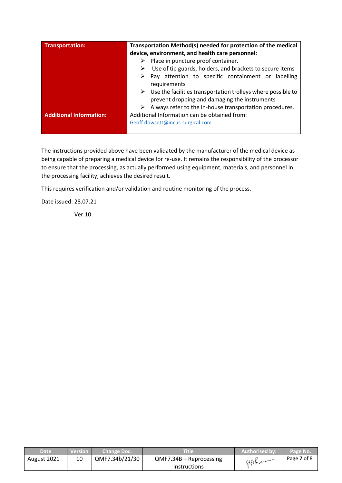| <b>Transportation:</b>         | Transportation Method(s) needed for protection of the medical                                                                  |  |  |
|--------------------------------|--------------------------------------------------------------------------------------------------------------------------------|--|--|
|                                | device, environment, and health care personnel:                                                                                |  |  |
|                                | Place in puncture proof container.<br>➤                                                                                        |  |  |
|                                | Use of tip guards, holders, and brackets to secure items                                                                       |  |  |
|                                | Pay attention to specific containment or labelling<br>requirements                                                             |  |  |
|                                | $\triangleright$ Use the facilities transportation trolleys where possible to<br>prevent dropping and damaging the instruments |  |  |
|                                | Always refer to the in-house transportation procedures.<br>➤                                                                   |  |  |
| <b>Additional Information:</b> | Additional Information can be obtained from:                                                                                   |  |  |
|                                | Geoff.dowsett@incus-surgical.com                                                                                               |  |  |
|                                |                                                                                                                                |  |  |

The instructions provided above have been validated by the manufacturer of the medical device as being capable of preparing a medical device for re-use. It remains the responsibility of the processor to ensure that the processing, as actually performed using equipment, materials, and personnel in the processing facility, achieves the desired result.

This requires verification and/or validation and routine monitoring of the process.

Date issued: 28.07.21

Ver.10

| Date <sup>1</sup> | <b>Version</b> 1 | <b>Change Doc.</b> \ | Title                     | Authorised by: | Page No.    |
|-------------------|------------------|----------------------|---------------------------|----------------|-------------|
| August 2021       | 10               | QMF7.34b/21/30       | $QMF7.34B - Reprocessing$ | 24Ker          | Page 7 of 8 |
|                   |                  |                      | <b>Instructions</b>       |                |             |